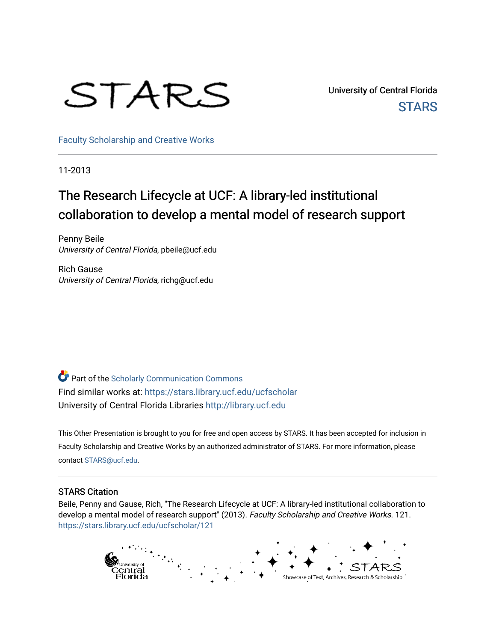# STARS

University of Central Florida **STARS** 

[Faculty Scholarship and Creative Works](https://stars.library.ucf.edu/ucfscholar) 

11-2013

#### The Research Lifecycle at UCF: A library-led institutional collaboration to develop a mental model of research support

Penny Beile University of Central Florida, pbeile@ucf.edu

Rich Gause University of Central Florida, richg@ucf.edu

**Part of the Scholarly Communication Commons** Find similar works at: <https://stars.library.ucf.edu/ucfscholar> University of Central Florida Libraries [http://library.ucf.edu](http://library.ucf.edu/) 

This Other Presentation is brought to you for free and open access by STARS. It has been accepted for inclusion in Faculty Scholarship and Creative Works by an authorized administrator of STARS. For more information, please contact [STARS@ucf.edu.](mailto:STARS@ucf.edu)

#### STARS Citation

Beile, Penny and Gause, Rich, "The Research Lifecycle at UCF: A library-led institutional collaboration to develop a mental model of research support" (2013). Faculty Scholarship and Creative Works. 121. [https://stars.library.ucf.edu/ucfscholar/121](https://stars.library.ucf.edu/ucfscholar/121?utm_source=stars.library.ucf.edu%2Fucfscholar%2F121&utm_medium=PDF&utm_campaign=PDFCoverPages)

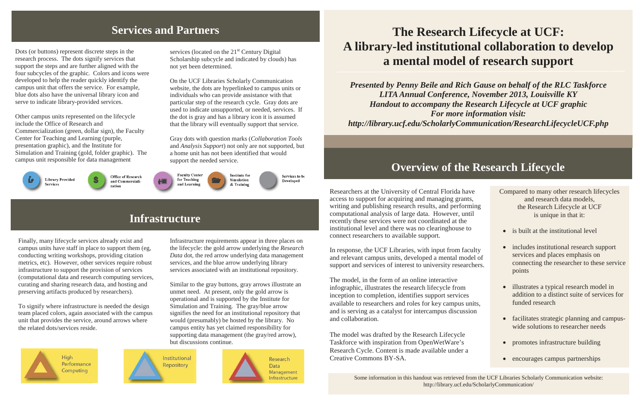#### **Services and Partners**

Researchers at the University of Central Florida have access to support for acquiring and managing grants, writing and publishing research results, and performing computational analysis of large data. However, until recently these services were not coordinated at the institutional level and there was no clearinghouse to connect researchers to available support.

In response, the UCF Libraries, with input from faculty and relevant campus units, developed a mental mode support and services of interest to university researchers.

The model, in the form of an online interactive infographic, illustrates the research lifecycle from inception to completion, identifies support services available to researchers and roles for key campus unit and is serving as a catalyst for intercampus discussion and collaboration.

The model was drafted by the Research Lifecycle Taskforce with inspiration from OpenWetWare's Research Cycle. Content is made available under a Creative Commons BY-SA.

| e<br>,<br>ing          | Compared to many other research lifecycles<br>and research data models,<br>the Research Lifecycle at UCF<br>is unique in that it:  |
|------------------------|------------------------------------------------------------------------------------------------------------------------------------|
|                        | is built at the institutional level                                                                                                |
| ılty<br>el of<br>hers. | includes institutional research support<br>services and places emphasis on<br>connecting the researcher to these service<br>points |
| its,                   | illustrates a typical research model in<br>addition to a distinct suite of services for<br>funded research                         |
| )n                     | facilitates strategic planning and campus-<br>wide solutions to researcher needs                                                   |
|                        | promotes infrastructure building                                                                                                   |
|                        | encourages campus partnerships                                                                                                     |
|                        |                                                                                                                                    |

services (located on the 21<sup>st</sup> Century Digital Scholarship subcycle and indicated by clouds) has not yet been determined.

#### **Overview of the Research Lifecycle**

## **The Research Lifecycle at UCF: A library-led institutional collaboration to develop a mental model of research support**

*Presented by Penny Beile and Rich Gause on behalf of the RLC Taskforce LITA Annual Conference, November 2013, Louisville KY Handout to accompany the Research Lifecycle at UCF graphic For more information visit: http://library.ucf.edu/ScholarlyCommunication/ResearchLifecycleUCF.php*

Some information in this handout was retrieved from the UCF Libraries Scholarly Communication website: http://library.ucf.edu/ScholarlyCommunication/

#### **Infrastructure**

Dots (or buttons) represent discrete steps in the research process. The dots signify services that support the steps and are further aligned with the four subcycles of the graphic. Colors and icons were developed to help the reader quickly identify the campus unit that offers the service. For example, blue dots also have the universal library icon and serve to indicate library-provided services.

Other campus units represented on the lifecycle include the Office of Research and Commercialization (green, dollar sign), the Faculty Center for Teaching and Learning (purple, presentation graphic), and the Institute for Simulation and Training (gold, folder graphic). The campus unit responsible for data management



Office of Research and Commercialization

On the UCF Libraries Scholarly Communication website, the dots are hyperlinked to campus units or individuals who can provide assistance with that particular step of the research cycle. Gray dots are used to indicate unsupported, or needed, services. If the dot is gray and has a library icon it is assumed that the library will eventually support that service.

Gray dots with question marks (*Collaboration Tools* and *Analysis Support*) not only are not supported, but a home unit has not been identified that would support the needed service.

Finally, many lifecycle services already exist and campus units have staff in place to support them (eg, conducting writing workshops, providing citation metrics, etc). However, other services require robust infrastructure to support the provision of services (computational data and research computing services, curating and sharing research data, and hosting and preserving artifacts produced by researchers).

To signify where infrastructure is needed the design team placed colors, again associated with the campus unit that provides the service, around arrows where the related dots/services reside.





Infrastructure requirements appear in three places on the lifecycle: the gold arrow underlying the *Research Data* dot, the red arrow underlying data management

services, and the blue arrow underlying library services associated with an institutional repository.





Research

Management Infrastructure

Data

Similar to the gray buttons, gray arrows illustrate an unmet need. At present, only the gold arrow is operational and is supported by the Institute for Simulation and Training. The gray/blue arrow signifies the need for an institutional repository that would (presumably) be hosted by the library. No campus entity has yet claimed responsibility for supporting data management (the gray/red arrow),

but discussions continue.